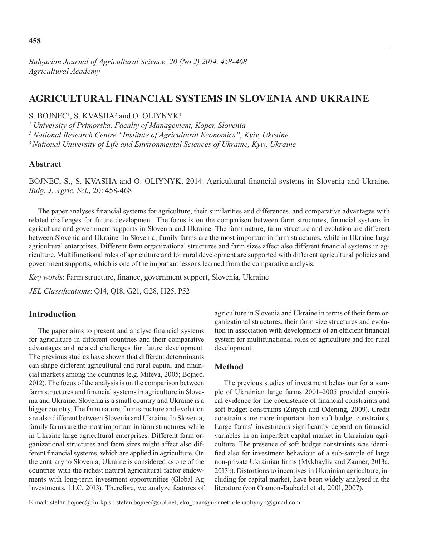*Bulgarian Journal of Agricultural Science, 20 (No 2) 2014, 458-468 Agricultural Academy*

# **AGRICULTURAL FINANCIAL SYSTEMS IN SLOVENIA AND UKRAINE**

S. BOJNEC<sup>1</sup>, S. KVASHA<sup>2</sup> and O. OLIYNYK<sup>3</sup>

*1 University of Primorska, Faculty of Management, Koper, Slovenia*

*2 National Research Centre "Institute of Agricultural Economics", Kyiv, Ukraine*

*3 National University of Life and Environmental Sciences of Ukraine, Kyiv, Ukraine*

## **Abstract**

BOJNEC, S., S. KVASHA and O. OLIYNYK, 2014. Agricultural financial systems in Slovenia and Ukraine. *Bulg. J. Agric. Sci.,* 20: 458-468

The paper analyses financial systems for agriculture, their similarities and differences, and comparative advantages with related challenges for future development. The focus is on the comparison between farm structures, financial systems in agriculture and government supports in Slovenia and Ukraine. The farm nature, farm structure and evolution are different between Slovenia and Ukraine. In Slovenia, family farms are the most important in farm structures, while in Ukraine large agricultural enterprises. Different farm organizational structures and farm sizes affect also different financial systems in agriculture. Multifunctional roles of agriculture and for rural development are supported with different agricultural policies and government supports, which is one of the important lessons learned from the comparative analysis.

*Key words*: Farm structure, finance, government support, Slovenia, Ukraine

*JEL Classifications*: Q14, Q18, G21, G28, H25, P52

## **Introduction**

The paper aims to present and analyse financial systems for agriculture in different countries and their comparative advantages and related challenges for future development. The previous studies have shown that different determinants can shape different agricultural and rural capital and financial markets among the countries (e.g. Miteva, 2005; Bojnec, 2012). The focus of the analysis is on the comparison between farm structures and financial systems in agriculture in Slovenia and Ukraine. Slovenia is a small country and Ukraine is a bigger country. The farm nature, farm structure and evolution are also different between Slovenia and Ukraine. In Slovenia, family farms are the most important in farm structures, while in Ukraine large agricultural enterprises. Different farm organizational structures and farm sizes might affect also different financial systems, which are applied in agriculture. On the contrary to Slovenia, Ukraine is considered as one of the countries with the richest natural agricultural factor endowments with long-term investment opportunities (Global Ag Investments, LLC, 2013). Therefore, we analyze features of

agriculture in Slovenia and Ukraine in terms of their farm organizational structures, their farm size structures and evolution in association with development of an efficient financial system for multifunctional roles of agriculture and for rural development.

## **Method**

The previous studies of investment behaviour for a sample of Ukrainian large farms 2001–2005 provided empirical evidence for the coexistence of financial constraints and soft budget constraints (Zinych and Odening, 2009). Credit constraints are more important than soft budget constraints. Large farms' investments significantly depend on financial variables in an imperfect capital market in Ukrainian agriculture. The presence of soft budget constraints was identified also for investment behaviour of a sub-sample of large non-private Ukrainian firms (Mykhayliv and Zauner, 2013a, 2013b). Distortions to incentives in Ukrainian agriculture, including for capital market, have been widely analysed in the literature (von Cramon-Taubadel et al., 2001, 2007).

E-mail: stefan.bojnec@fm-kp.si; stefan.bojnec@siol.net; eko\_uaan@ukr.net; olenaoliynyk@gmail.com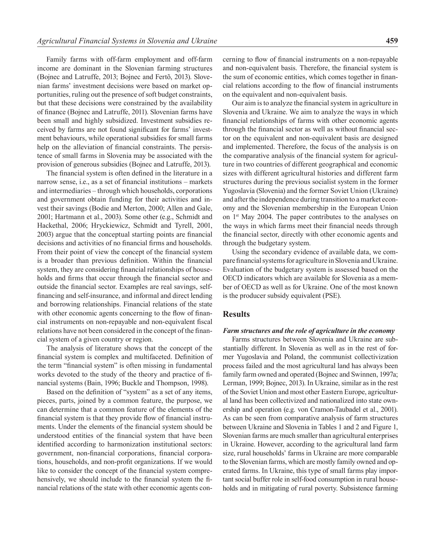Family farms with off-farm employment and off-farm income are dominant in the Slovenian farming structures (Bojnec and Latruffe, 2013; Bojnec and Fertõ, 2013). Slovenian farms' investment decisions were based on market opportunities, ruling out the presence of soft budget constraints, but that these decisions were constrained by the availability of finance (Bojnec and Latruffe, 2011). Slovenian farms have been small and highly subsidized. Investment subsidies received by farms are not found significant for farms' investment behaviours, while operational subsidies for small farms help on the alleviation of financial constraints. The persistence of small farms in Slovenia may be associated with the provision of generous subsidies (Bojnec and Latruffe, 2013).

The financial system is often defined in the literature in a narrow sense, i.e., as a set of financial institutions – markets and intermediaries – through which households, corporations and government obtain funding for their activities and invest their savings (Bodie and Merton, 2000; Allen and Gale, 2001; Hartmann et al., 2003). Some other (e.g., Schmidt and Hackethal, 2006; Hryckiewicz, Schmidt and Tyrell, 2001, 2003) argue that the conceptual starting points are financial decisions and activities of no financial firms and households. From their point of view the concept of the financial system is a broader than previous definition. Within the financial system, they are considering financial relationships of households and firms that occur through the financial sector and outside the financial sector. Examples are real savings, selffinancing and self-insurance, and informal and direct lending and borrowing relationships. Financial relations of the state with other economic agents concerning to the flow of financial instruments on non-repayable and non-equivalent fiscal relations have not been considered in the concept of the financial system of a given country or region.

The analysis of literature shows that the concept of the financial system is complex and multifaceted. Definition of the term "financial system" is often missing in fundamental works devoted to the study of the theory and practice of financial systems (Bain, 1996; Buckle and Thompson, 1998).

Based on the definition of "system" as a set of any items, pieces, parts, joined by a common feature, the purpose, we can determine that a common feature of the elements of the financial system is that they provide flow of financial instruments. Under the elements of the financial system should be understood entities of the financial system that have been identified according to harmonization institutional sectors: government, non-financial corporations, financial corporations, households, and non-profit organizations. If we would like to consider the concept of the financial system comprehensively, we should include to the financial system the financial relations of the state with other economic agents concerning to flow of financial instruments on a non-repayable and non-equivalent basis. Therefore, the financial system is the sum of economic entities, which comes together in financial relations according to the flow of financial instruments on the equivalent and non-equivalent basis.

Our aim is to analyze the financial system in agriculture in Slovenia and Ukraine. We aim to analyze the ways in which financial relationships of farms with other economic agents through the financial sector as well as without financial sector on the equivalent and non-equivalent basis are designed and implemented. Therefore, the focus of the analysis is on the comparative analysis of the financial system for agriculture in two countries of different geographical and economic sizes with different agricultural histories and different farm structures during the previous socialist system in the former Yugoslavia (Slovenia) and the former Soviet Union (Ukraine) and after the independence during transition to a market economy and the Slovenian membership in the European Union on 1st May 2004. The paper contributes to the analyses on the ways in which farms meet their financial needs through the financial sector, directly with other economic agents and through the budgetary system.

Using the secondary evidence of available data, we compare financial systems for agriculture in Slovenia and Ukraine. Evaluation of the budgetary system is assessed based on the OECD indicators which are available for Slovenia as a member of OECD as well as for Ukraine. One of the most known is the producer subsidy equivalent (PSE).

### **Results**

#### *Farm structures and the role of agriculture in the economy*

Farms structures between Slovenia and Ukraine are substantially different. In Slovenia as well as in the rest of former Yugoslavia and Poland, the communist collectivization process failed and the most agricultural land has always been family farm owned and operated (Bojnec and Swinnen, 1997a; Lerman, 1999; Bojnec, 2013). In Ukraine, similar as in the rest of the Soviet Union and most other Eastern Europe, agricultural land has been collectivized and nationalized into state ownership and operation (e.g. von Cramon-Taubadel et al., 2001). As can be seen from comparative analysis of farm structures between Ukraine and Slovenia in Tables 1 and 2 and Figure 1, Slovenian farms are much smaller than agricultural enterprises in Ukraine. However, according to the agricultural land farm size, rural households' farms in Ukraine are more comparable to the Slovenian farms, which are mostly family owned and operated farms. In Ukraine, this type of small farms play important social buffer role in self-food consumption in rural households and in mitigating of rural poverty. Subsistence farming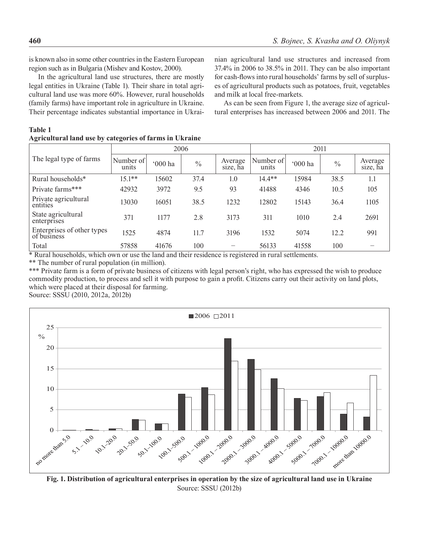is known also in some other countries in the Eastern European region such as in Bulgaria (Mishev and Kostov, 2000).

In the agricultural land use structures, there are mostly legal entities in Ukraine (Table 1). Their share in total agricultural land use was more 60%. However, rural households (family farms) have important role in agriculture in Ukraine. Their percentage indicates substantial importance in Ukrai-

**Agricultural land use by categories of farms in Ukraine** 

nian agricultural land use structures and increased from 37.4% in 2006 to 38.5% in 2011. They can be also important for cash-flows into rural households' farms by sell of surpluses of agricultural products such as potatoes, fruit, vegetables and milk at local free-markets.

As can be seen from Figure 1, the average size of agricultural enterprises has increased between 2006 and 2011. The

#### **Table 1**

|                                                                                                                      | 2006               |         |               |                     | 2011               |         |               |                     |
|----------------------------------------------------------------------------------------------------------------------|--------------------|---------|---------------|---------------------|--------------------|---------|---------------|---------------------|
| The legal type of farms                                                                                              | Number of<br>units | '000 ha | $\frac{0}{0}$ | Average<br>size, ha | Number of<br>units | '000 ha | $\frac{0}{0}$ | Average<br>size, ha |
| Rural households*                                                                                                    | $15.1**$           | 15602   | 37.4          | 1.0                 | $14.4**$           | 15984   | 38.5          | 1.1                 |
| Private farms***                                                                                                     | 42932              | 3972    | 9.5           | 93                  | 41488              | 4346    | 10.5          | 105                 |
| Private agricultural<br>entities                                                                                     | 13030              | 16051   | 38.5          | 1232                | 12802              | 15143   | 36.4          | 1105                |
| State agricultural<br>enterprises                                                                                    | 371                | 1177    | 2.8           | 3173                | 311                | 1010    | 2.4           | 2691                |
| Enterprises of other types<br>of business                                                                            | 1525               | 4874    | 11.7          | 3196                | 1532               | 5074    | 12.2          | 991                 |
| Total<br>* Decent legacional de contrade acompanya de a também de designacions de maximismo de incomparatificaciones | 57858              | 41676   | 100           |                     | 56133              | 41558   | 100           |                     |

Rural households, which own or use the land and their residence is registered in rural settlements.

\*\* The number of rural population (in million).

\*\*\* Private farm is a form of private business of citizens with legal person's right, who has expressed the wish to produce commodity production, to process and sell it with purpose to gain a profit. Citizens carry out their activity on land plots, which were placed at their disposal for farming.

Source: SSSU (2010, 2012a, 2012b)



**Fig. 1. Distribution of agricultural enterprises in operation by the size of agricultural land use in Ukraine** Source: SSSU (2012b)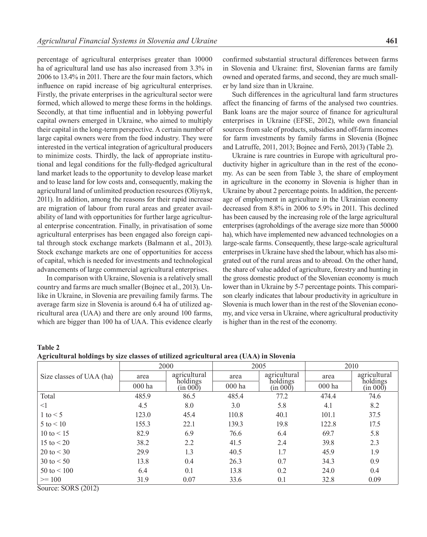percentage of agricultural enterprises greater than 10000 ha of agricultural land use has also increased from 3.3% in  $2006$  to 13.4% in 2011. There are the four main factors, which influence on rapid increase of big agricultural enterprises. Firstly, the private enterprises in the agricultural sector were formed, which allowed to merge these forms in the holdings. Secondly, at that time influential and in lobbying powerful capital owners emerged in Ukraine, who aimed to multiply their capital in the long-term perspective. A certain number of large capital owners were from the food industry. They were interested in the vertical integration of agricultural producers to minimize costs. Thirdly, the lack of appropriate institutional and legal conditions for the fully-fledged agricultural land market leads to the opportunity to develop lease market and to lease land for low costs and, consequently, making the agricultural land of unlimited production resources (Oliynyk, 2011). In addition, among the reasons for their rapid increase are migration of labour from rural areas and greater availability of land with opportunities for further large agricultural enterprise concentration. Finally, in privatisation of some agricultural enterprises has been engaged also foreign capital through stock exchange markets (Balmann et al., 2013). Stock exchange markets are one of opportunities for access of capital, which is needed for investments and technological advancements of large commercial agricultural enterprises.

In comparison with Ukraine, Slovenia is a relatively small country and farms are much smaller (Bojnec et al., 2013). Unlike in Ukraine, in Slovenia are prevailing family farms. The average farm size in Slovenia is around 6.4 ha of utilized agricultural area (UAA) and there are only around 100 farms, which are bigger than 100 ha of UAA. This evidence clearly

confirmed substantial structural differences between farms in Slovenia and Ukraine: first, Slovenian farms are family owned and operated farms, and second, they are much smaller by land size than in Ukraine.

Such differences in the agricultural land farm structures affect the financing of farms of the analysed two countries. Bank loans are the major source of finance for agricultural enterprises in Ukraine (EFSE, 2012), while own financial sources from sale of products, subsidies and off-farm incomes for farm investments by family farms in Slovenia (Bojnec and Latruffe, 2011, 2013; Bojnec and Fertõ, 2013) (Table 2).

Ukraine is rare countries in Europe with agricultural productivity higher in agriculture than in the rest of the economy. As can be seen from Table 3, the share of employment in agriculture in the economy in Slovenia is higher than in Ukraine by about 2 percentage points. In addition, the percentage of employment in agriculture in the Ukrainian economy decreased from 8.8% in 2006 to 5.9% in 2011. This declined has been caused by the increasing role of the large agricultural enterprises (agroholdings of the average size more than 50000 ha), which have implemented new advanced technologies on a large-scale farms. Consequently, these large-scale agricultural enterprises in Ukraine have shed the labour, which has also migrated out of the rural areas and to abroad. On the other hand, the share of value added of agriculture, forestry and hunting in the gross domestic product of the Slovenian economy is much lower than in Ukraine by 5-7 percentage points. This comparison clearly indicates that labour productivity in agriculture in Slovenia is much lower than in the rest of the Slovenian economy, and vice versa in Ukraine, where agricultural productivity is higher than in the rest of the economy.

| <b>Table 2</b>                                                                        |  |
|---------------------------------------------------------------------------------------|--|
| Agricultural holdings by size classes of utilized agricultural area (UAA) in Slovenia |  |

|                                                                   |        | 2000                     |        | 2005                     | 2010   |                      |  |
|-------------------------------------------------------------------|--------|--------------------------|--------|--------------------------|--------|----------------------|--|
| Size classes of UAA (ha)                                          | area   | agricultural<br>holdings | area   | agricultural<br>holdings | area   | agricultural         |  |
|                                                                   | 000 ha | (in 000)                 | 000 ha | (in 000)                 | 000 ha | holdings<br>(in 000) |  |
| Total                                                             | 485.9  | 86.5                     | 485.4  | 77.2                     | 474.4  | 74.6                 |  |
| <1                                                                | 4.5    | 8.0                      | 3.0    | 5.8                      | 4.1    | 8.2                  |  |
| 1 to $\leq$ 5                                                     | 123.0  | 45.4                     | 110.8  | 40.1                     | 101.1  | 37.5                 |  |
| $5 \text{ to } 5 10$                                              | 155.3  | 22.1                     | 139.3  | 19.8                     | 122.8  | 17.5                 |  |
| 10 to $< 15$                                                      | 82.9   | 6.9                      | 76.6   | 6.4                      | 69.7   | 5.8                  |  |
| 15 to $< 20$                                                      | 38.2   | 2.2                      | 41.5   | 2.4                      | 39.8   | 2.3                  |  |
| 20 to $<$ 30                                                      | 29.9   | 1.3                      | 40.5   | 1.7                      | 45.9   | 1.9                  |  |
| 30 to $< 50$                                                      | 13.8   | 0.4                      | 26.3   | 0.7                      | 34.3   | 0.9                  |  |
| $50 \text{ to } 500$                                              | 6.4    | 0.1                      | 13.8   | 0.2                      | 24.0   | 0.4                  |  |
| $>= 100$<br>$\alpha$ $\alpha$ $\alpha$ $\alpha$ $\alpha$ $\alpha$ | 31.9   | 0.07                     | 33.6   | 0.1                      | 32.8   | 0.09                 |  |

Source: SORS (2012)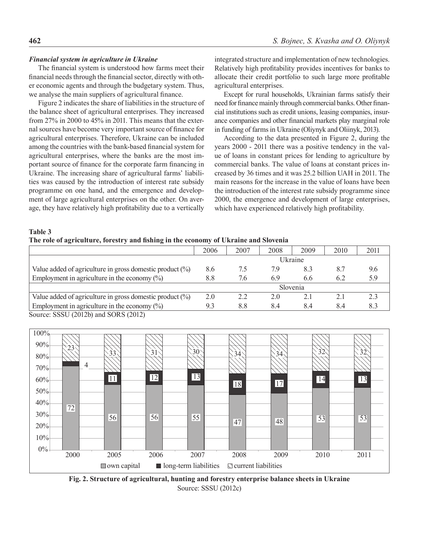#### *Financial system in agriculture in Ukraine*

The financial system is understood how farms meet their financial needs through the financial sector, directly with other economic agents and through the budgetary system. Thus, we analyse the main suppliers of agricultural finance.

Figure 2 indicates the share of liabilities in the structure of the balance sheet of agricultural enterprises. They increased from 27% in 2000 to 45% in 2011. This means that the external sources have become very important source of finance for agricultural enterprises. Therefore, Ukraine can be included among the countries with the bank-based financial system for agricultural enterprises, where the banks are the most important source of finance for the corporate farm financing in Ukraine. The increasing share of agricultural farms' liabilities was caused by the introduction of interest rate subsidy programme on one hand, and the emergence and development of large agricultural enterprises on the other. On average, they have relatively high profitability due to a vertically integrated structure and implementation of new technologies. Relatively high profitability provides incentives for banks to allocate their credit portfolio to such large more profitable agricultural enterprises.

Except for rural households, Ukrainian farms satisfy their need for finance mainly through commercial banks. Other financial institutions such as credit unions, leasing companies, insurance companies and other financial markets play marginal role in funding of farms in Ukraine (Oliynyk and Oliinyk, 2013).

According to the data presented in Figure 2, during the years 2000 - 2011 there was a positive tendency in the value of loans in constant prices for lending to agriculture by commercial banks. The value of loans at constant prices increased by 36 times and it was 25.2 billion UAH in 2011. The main reasons for the increase in the value of loans have been the introduction of the interest rate subsidy programme since 2000, the emergence and development of large enterprises, which have experienced relatively high profitability.

**Table 3**

**The role of agriculture, forestry and fishing in the economy of Ukraine and Slovenia**

|                                                                                                                                                                                         | 2006    | 2007 | 2008 | 2009     | 2010 | 2011 |
|-----------------------------------------------------------------------------------------------------------------------------------------------------------------------------------------|---------|------|------|----------|------|------|
|                                                                                                                                                                                         | Ukraine |      |      |          |      |      |
| Value added of agriculture in gross domestic product $(\%)$                                                                                                                             | 8.6     | 7.5  | 7.9  | 8.3      | 8.7  | 9.6  |
| Employment in agriculture in the economy $(\%)$                                                                                                                                         | 8.8     | 7.6  | 6.9  | 6.6      | 6.2  | 5.9  |
|                                                                                                                                                                                         |         |      |      | Slovenia |      |      |
| Value added of agriculture in gross domestic product $(\%)$                                                                                                                             | 2.0     | 22   | 20   | 2.1      | 21   | 2.3  |
| Employment in agriculture in the economy $(\%)$                                                                                                                                         | 9.3     | 8.8  | 8.4  | 8.4      | 8.4  | 8.3  |
| $\gamma_{\text{ource}}$ $\gamma_{\text{Q}}$ $\gamma_{\text{Q}}$ $\gamma_{\text{Q}}$ $\gamma_{\text{Q}}$ $\gamma_{\text{Q}}$ $\gamma_{\text{Q}}$ $\gamma_{\text{Q}}$ $\gamma_{\text{Q}}$ |         |      |      |          |      |      |





**Fig. 2. Structure of agricultural, hunting and forestry enterprise balance sheets in Ukraine** Source: SSSU (2012c)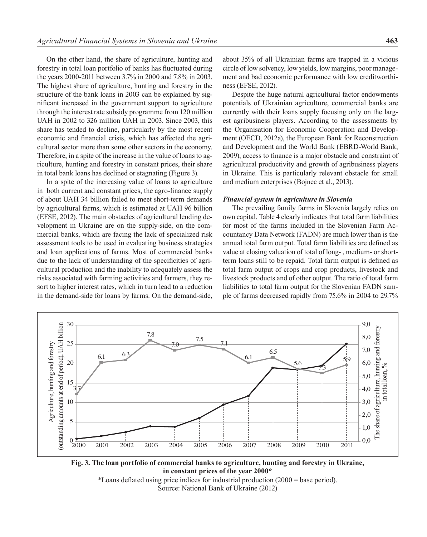On the other hand, the share of agriculture, hunting and forestry in total loan portfolio of banks has fluctuated during the years 2000-2011 between 3.7% in 2000 and 7.8% in 2003. The highest share of agriculture, hunting and forestry in the structure of the bank loans in 2003 can be explained by significant increased in the government support to agriculture through the interest rate subsidy programme from 120 million UAH in 2002 to 326 million UAH in 2003. Since 2003, this share has tended to decline, particularly by the most recent economic and financial crisis, which has affected the agricultural sector more than some other sectors in the economy. Therefore, in a spite of the increase in the value of loans to agriculture, hunting and forestry in constant prices, their share in total bank loans has declined or stagnating (Figure 3).

In a spite of the increasing value of loans to agriculture in both current and constant prices, the agro-finance supply of about UAH 34 billion failed to meet short-term demands by agricultural farms, which is estimated at UAH 96 billion (EFSE, 2012). The main obstacles of agricultural lending development in Ukraine are on the supply-side, on the commercial banks, which are facing the lack of specialized risk assessment tools to be used in evaluating business strategies and loan applications of farms. Most of commercial banks due to the lack of understanding of the specificities of agricultural production and the inability to adequately assess the risks associated with farming activities and farmers, they resort to higher interest rates, which in turn lead to a reduction in the demand-side for loans by farms. On the demand-side,

about 35% of all Ukrainian farms are trapped in a vicious circle of low solvency, low yields, low margins, poor management and bad economic performance with low creditworthiness (EFSE, 2012).

Despite the huge natural agricultural factor endowments potentials of Ukrainian agriculture, commercial banks are currently with their loans supply focusing only on the largest agribusiness players. According to the assessments by the Organisation for Economic Cooperation and Development (OECD, 2012a), the European Bank for Reconstruction and Development and the World Bank (EBRD-World Bank, 2009), access to finance is a major obstacle and constraint of agricultural productivity and growth of agribusiness players in Ukraine. This is particularly relevant obstacle for small and medium enterprises (Bojnec et al., 2013).

#### *Financial system in agriculture in Slovenia*

The prevailing family farms in Slovenia largely relies on own capital. Table 4 clearly indicates that total farm liabilities for most of the farms included in the Slovenian Farm Accountancy Data Network (FADN) are much lower than is the annual total farm output. Total farm liabilities are defined as value at closing valuation of total of long- , medium- or shortterm loans still to be repaid. Total farm output is defined as total farm output of crops and crop products, livestock and livestock products and of other output. The ratio of total farm liabilities to total farm output for the Slovenian FADN sample of farms decreased rapidly from 75.6% in 2004 to 29.7%



**Fig. 3. The loan portfolio of commercial banks to agriculture, hunting and forestry in Ukraine, in constant prices of the year 2000\***

\*Loans deflated using price indices for industrial production (2000 = base period). Source: National Bank of Ukraine (2012)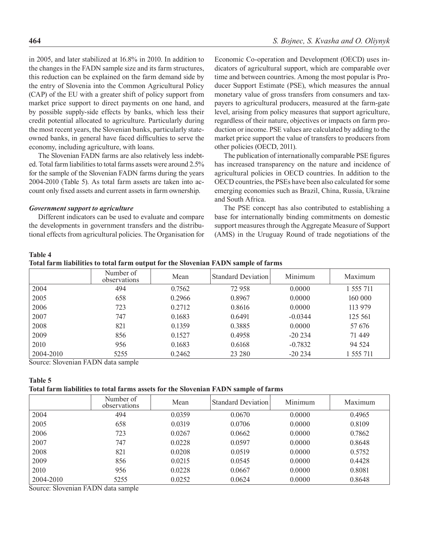in 2005, and later stabilized at 16.8% in 2010. In addition to the changes in the FADN sample size and its farm structures, this reduction can be explained on the farm demand side by the entry of Slovenia into the Common Agricultural Policy (CAP) of the EU with a greater shift of policy support from market price support to direct payments on one hand, and by possible supply-side effects by banks, which less their credit potential allocated to agriculture. Particularly during the most recent years, the Slovenian banks, particularly stateowned banks, in general have faced difficulties to serve the economy, including agriculture, with loans.

The Slovenian FADN farms are also relatively less indebted. Total farm liabilities to total farms assets were around 2.5% for the sample of the Slovenian FADN farms during the years 2004-2010 (Table 5). As total farm assets are taken into account only fixed assets and current assets in farm ownership.

#### *Government support to agriculture*

Different indicators can be used to evaluate and compare the developments in government transfers and the distributional effects from agricultural policies. The Organisation for Economic Co-operation and Development (OECD) uses indicators of agricultural support, which are comparable over time and between countries. Among the most popular is Producer Support Estimate (PSE), which measures the annual monetary value of gross transfers from consumers and taxpayers to agricultural producers, measured at the farm-gate level, arising from policy measures that support agriculture, regardless of their nature, objectives or impacts on farm production or income. PSE values are calculated by adding to the market price support the value of transfers to producers from other policies (OECD, 2011).

The publication of internationally comparable PSE figures has increased transparency on the nature and incidence of agricultural policies in OECD countries. In addition to the OECD countries, the PSEs have been also calculated for some emerging economies such as Brazil, China, Russia, Ukraine and South Africa.

The PSE concept has also contributed to establishing a base for internationally binding commitments on domestic support measures through the Aggregate Measure of Support (AMS) in the Uruguay Round of trade negotiations of the

### **Table 4**

|                                 | Number of<br>observations | Mean   | <b>Standard Deviation</b> | Minimum   | Maximum   |
|---------------------------------|---------------------------|--------|---------------------------|-----------|-----------|
| 2004                            | 494                       | 0.7562 | 72 958                    | 0.0000    | 1 555 711 |
| 2005                            | 658                       | 0.2966 | 0.8967                    | 0.0000    | 160 000   |
| 2006                            | 723                       | 0.2712 | 0.8616                    | 0.0000    | 113 979   |
| 2007                            | 747                       | 0.1683 | 0.6491                    | $-0.0344$ | 125 561   |
| 2008                            | 821                       | 0.1359 | 0.3885                    | 0.0000    | 57 676    |
| 2009                            | 856                       | 0.1527 | 0.4958                    | $-20234$  | 71 449    |
| 2010                            | 956                       | 0.1683 | 0.6168                    | $-0.7832$ | 94 5 24   |
| 2004-2010<br>$\sim$ 1<br>$\sim$ | 5255<br>$T + T + T$       | 0.2462 | 23 280                    | $-20234$  | 1 555 711 |

Source: Slovenian FADN data sample

#### **Table 5**

### **Total farm liabilities to total farms assets for the Slovenian FADN sample of farms**

|           | Number of<br>observations | Mean   | <b>Standard Deviation</b> | Minimum | Maximum |
|-----------|---------------------------|--------|---------------------------|---------|---------|
| 2004      | 494                       | 0.0359 | 0.0670                    | 0.0000  | 0.4965  |
| 2005      | 658                       | 0.0319 | 0.0706                    | 0.0000  | 0.8109  |
| 2006      | 723                       | 0.0267 | 0.0662                    | 0.0000  | 0.7862  |
| 2007      | 747                       | 0.0228 | 0.0597                    | 0.0000  | 0.8648  |
| 2008      | 821                       | 0.0208 | 0.0519                    | 0.0000  | 0.5752  |
| 2009      | 856                       | 0.0215 | 0.0545                    | 0.0000  | 0.4428  |
| 2010      | 956                       | 0.0228 | 0.0667                    | 0.0000  | 0.8081  |
| 2004-2010 | 5255                      | 0.0252 | 0.0624                    | 0.0000  | 0.8648  |

Source: Slovenian FADN data sample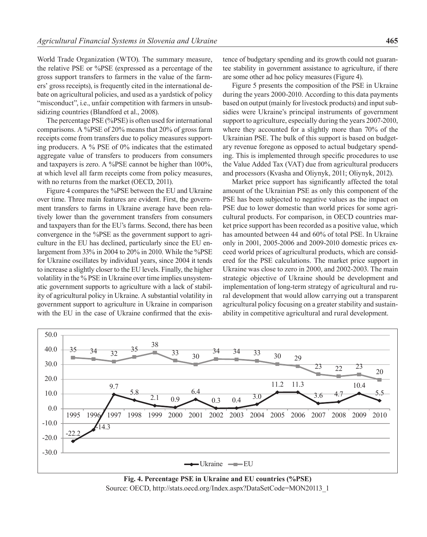World Trade Organization (WTO). The summary measure, the relative PSE or %PSE (expressed as a percentage of the gross support transfers to farmers in the value of the farmers' gross receipts), is frequently cited in the international debate on agricultural policies, and used as a yardstick of policy "misconduct", i.e., unfair competition with farmers in unsubsidizing countries (Blandford et al., 2008).

The percentage PSE (%PSE) is often used for international comparisons. A %PSE of 20% means that 20% of gross farm receipts come from transfers due to policy measures supporting producers. A % PSE of 0% indicates that the estimated aggregate value of transfers to producers from consumers and taxpayers is zero. A %PSE cannot be higher than 100%, at which level all farm receipts come from policy measures, with no returns from the market (OECD, 2011).

Figure 4 compares the %PSE between the EU and Ukraine over time. Three main features are evident. First, the government transfers to farms in Ukraine average have been relatively lower than the government transfers from consumers and taxpayers than for the EU's farms. Second, there has been convergence in the %PSE as the government support to agriculture in the EU has declined, particularly since the EU enlargement from 33% in 2004 to 20% in 2010. While the %PSE for Ukraine oscillates by individual years, since 2004 it tends to increase a slightly closer to the EU levels. Finally, the higher volatility in the % PSE in Ukraine over time implies unsystematic government supports to agriculture with a lack of stability of agricultural policy in Ukraine. A substantial volatility in government support to agriculture in Ukraine in comparison with the EU in the case of Ukraine confirmed that the existence of budgetary spending and its growth could not guarantee stability in government assistance to agriculture, if there are some other ad hoc policy measures (Figure 4).

Figure 5 presents the composition of the PSE in Ukraine during the years 2000-2010. According to this data payments based on output (mainly for livestock products) and input subsidies were Ukraine's principal instruments of government support to agriculture, especially during the years 2007-2010, where they accounted for a slightly more than 70% of the Ukrainian PSE. The bulk of this support is based on budgetary revenue foregone as opposed to actual budgetary spending. This is implemented through specific procedures to use the Value Added Tax (VAT) due from agricultural producers and processors (Kvasha and Oliynyk, 2011; Oliynyk, 2012).

Market price support has significantly affected the total amount of the Ukrainian PSE as only this component of the PSE has been subjected to negative values as the impact on PSE due to lower domestic than world prices for some agricultural products. For comparison, in OECD countries market price support has been recorded as a positive value, which has amounted between 44 and 60% of total PSE. In Ukraine only in 2001, 2005-2006 and 2009-2010 domestic prices exceed world prices of agricultural products, which are considered for the PSE calculations. The market price support in Ukraine was close to zero in 2000, and 2002-2003. The main strategic objective of Ukraine should be development and implementation of long-term strategy of agricultural and rural development that would allow carrying out a transparent agricultural policy focusing on a greater stability and sustainability in competitive agricultural and rural development.



**Fig. 4. Percentage PSE in Ukraine and EU countries (%PSE)** Source: OECD, http://stats.oecd.org/Index.aspx?DataSetCode=MON20113\_1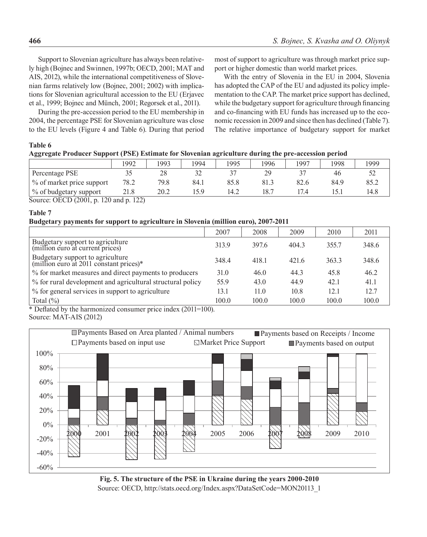Support to Slovenian agriculture has always been relatively high (Bojnec and Swinnen, 1997b; OECD, 2001; MAT and AIS, 2012), while the international competitiveness of Slovenian farms relatively low (Bojnec, 2001; 2002) with implications for Slovenian agricultural accession to the EU (Erjavec et al., 1999; Bojnec and Münch, 2001; Regorsek et al., 2011).

During the pre-accession period to the EU membership in 2004, the percentage PSE for Slovenian agriculture was close to the EU levels (Figure 4 and Table 6). During that period most of support to agriculture was through market price support or higher domestic than world market prices.

With the entry of Slovenia in the EU in 2004, Slovenia has adopted the CAP of the EU and adjusted its policy implementation to the CAP. The market price support has declined, while the budgetary support for agriculture through financing and co-financing with EU funds has increased up to the economic recession in 2009 and since then has declined (Table 7). The relative importance of budgetary support for market

### **Table 6**

| Aggregate Producer Support (PSE) Estimate for Slovenian agriculture during the pre-accession period |      |      |      |      |      |      |      |      |
|-----------------------------------------------------------------------------------------------------|------|------|------|------|------|------|------|------|
|                                                                                                     | 1992 | 1993 | 1994 | 1995 | 1996 | 1997 | 1998 | 1999 |
| Percentage PSE                                                                                      |      | 28   |      |      | 29   |      | 46   | 52   |
| % of market price support                                                                           | 78.2 | 79.8 | 84.1 | 85.8 | 81.3 | 82.6 | 84.9 | 85.2 |
| $\frac{6}{10}$ of budgetary support                                                                 | 21.8 | 20.2 | 15.9 | 14.2 | 18.7 | 17.4 | 15.1 | 14.8 |

Source: OECD (2001, p. 120 and p. 122)

### **Table 7**

### **Budgetary payments for support to agriculture in Slovenia (million euro), 2007-2011**

|                                                                             | 2007  | 2008  | 2009  | 2010  | 2011  |
|-----------------------------------------------------------------------------|-------|-------|-------|-------|-------|
| Budgetary support to agriculture<br>(million euro at current prices)        | 313.9 | 397.6 | 404.3 | 355.7 | 348.6 |
| Budgetary support to agriculture<br>(million euro at 2011 constant prices)* | 348.4 | 418.1 | 421.6 | 363.3 | 348.6 |
| % for market measures and direct payments to producers                      | 31.0  | 46.0  | 44.3  | 45.8  | 46.2  |
| % for rural development and agricultural structural policy                  | 55.9  | 43.0  | 44.9  | 42.1  | 41.1  |
| % for general services in support to agriculture                            | 13.1  | 11.0  | 10.8  | 12.1  | 12.7  |
| Total $(\% )$                                                               | 100.0 | 100.0 | 100.0 | 100.0 | 100.0 |

\* Deflated by the harmonized consumer price index (2011=100).

Source: MAT-AIS (2012)



**Fig. 5. The structure of the PSE in Ukraine during the years 2000-2010** Source: OECD, http://stats.oecd.org/Index.aspx?DataSetCode=MON20113\_1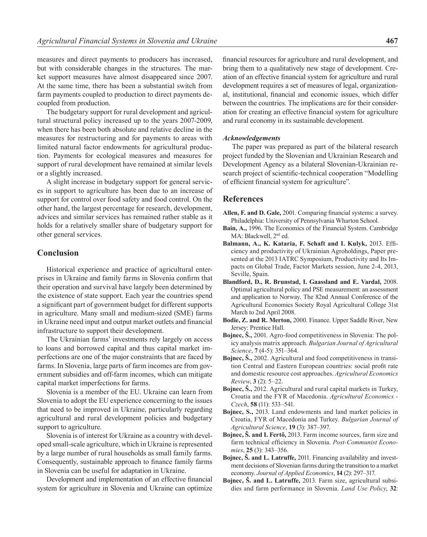measures and direct payments to producers has increased, but with considerable changes in the structures. The market support measures have almost disappeared since 2007. At the same time, there has been a substantial switch from farm payments coupled to production to direct payments decoupled from production.

The budgetary support for rural development and agricultural structural policy increased up to the years 2007-2009, when there has been both absolute and relative decline in the measures for restructuring and for payments to areas with limited natural factor endowments for agricultural production. Payments for ecological measures and measures for support of rural development have remained at similar levels or a slightly increased.

A slight increase in budgetary support for general services in support to agriculture has been due to an increase of support for control over food safety and food control. On the other hand, the largest percentage for research, development, advices and similar services has remained rather stable as it holds for a relatively smaller share of budgetary support for other general services.

## **Conclusion**

Historical experience and practice of agricultural enterprises in Ukraine and family farms in Slovenia confirm that their operation and survival have largely been determined by the existence of state support. Each year the countries spend a significant part of government budget for different supports in agriculture. Many small and medium-sized (SME) farms in Ukraine need input and output market outlets and financial infrastructure to support their development.

The Ukrainian farms' investments rely largely on access to loans and borrowed capital and thus capital market imperfections are one of the major constraints that are faced by farms. In Slovenia, large parts of farm incomes are from government subsidies and off-farm incomes, which can mitigate capital market imperfections for farms.

Slovenia is a member of the EU. Ukraine can learn from Slovenia to adopt the EU experience concerning to the issues that need to be improved in Ukraine, particularly regarding agricultural and rural development policies and budgetary support to agriculture.

Slovenia is of interest for Ukraine as a country with developed small-scale agriculture, which in Ukraine is represented by a large number of rural households as small family farms. Consequently, sustainable approach to finance family farms in Slovenia can be useful for adaptation in Ukraine.

Development and implementation of an effective financial system for agriculture in Slovenia and Ukraine can optimize

financial resources for agriculture and rural development, and bring them to a qualitatively new stage of development. Creation of an effective financial system for agriculture and rural development requires a set of measures of legal, organizational, institutional, financial and economic issues, which differ between the countries. The implications are for their consideration for creating an effective financial system for agriculture and rural economy in its sustainable development.

#### *Acknowledgements*

The paper was prepared as part of the bilateral research project funded by the Slovenian and Ukrainian Research and Development Agency as a bilateral Slovenian-Ukrainian research project of scientific-technical cooperation "Modelling of efficient financial system for agriculture".

### **References**

- **Allen, F. and D. Gale,** 2001. Comparing financial systems: a survey. Philadelphia: University of Pennsylvania Wharton School.
- **Bain, A.,** 1996. The Economics of the Financial System. Cambridge MA: Blackwell, 2<sup>nd</sup> ed.
- **Balmann, A., K. Kataria, F. Schaft and I. Kulyk,** 2013. Efficiency and productivity of Ukrainian Agroholdings, Paper presented at the 2013 IATRC Symposium, Productivity and Its Impacts on Global Trade, Factor Markets session, June 2-4, 2013, Seville, Spain.
- **Blandford, D., R. Brunstad, I. Gaassland and E. Vardal,** 2008. Optimal agricultural policy and PSE measurement: an assessment and application to Norway. The 82nd Annual Conference of the Agricultural Economics Society Royal Agricultural College 31st March to 2nd April 2008.
- **Bodie, Z. and R. Merton,** 2000. Finance. Upper Saddle River, New Jersey: Prentice Hall.
- **Bojnec, Š.,** 2001. Agro-food competitiveness in Slovenia: The policy analysis matrix approach. *Bulgarian Journal of Agricultural Science*, **7** (4-5): 351–364.
- **Bojnec, Š.,** 2002. Agricultural and food competitiveness in transition Central and Eastern European countries: social profit rate and domestic resource cost approaches. *Agricultural Economics Review*, **3** (2): 5–22.
- **Bojnec, Š.,** 2012. Agricultural and rural capital markets in Turkey, Croatia and the FYR of Macedonia. *Agricultural Economics - Czech*, **58** (11): 533–541.
- **Bojnec, S.,** 2013. Land endowments and land market policies in Croatia, FYR of Macedonia and Turkey. *Bulgarian Journal of Agricultural Science*, **19** (3): 387–397.
- **Bojnec, Š. and I. Fertõ,** 2013. Farm income sources, farm size and farm technical efficiency in Slovenia. *Post-Communist Economies*, **25** (3): 343–356.
- **Bojnec, Š. and L. Latruffe,** 2011. Financing availability and investment decisions of Slovenian farms during the transition to a market economy. *Journal of Applied Economics*, **14** (2): 297–317.
- **Bojnec, Š. and L. Latruffe,** 2013. Farm size, agricultural subsidies and farm performance in Slovenia. *Land Use Policy*, **32**: